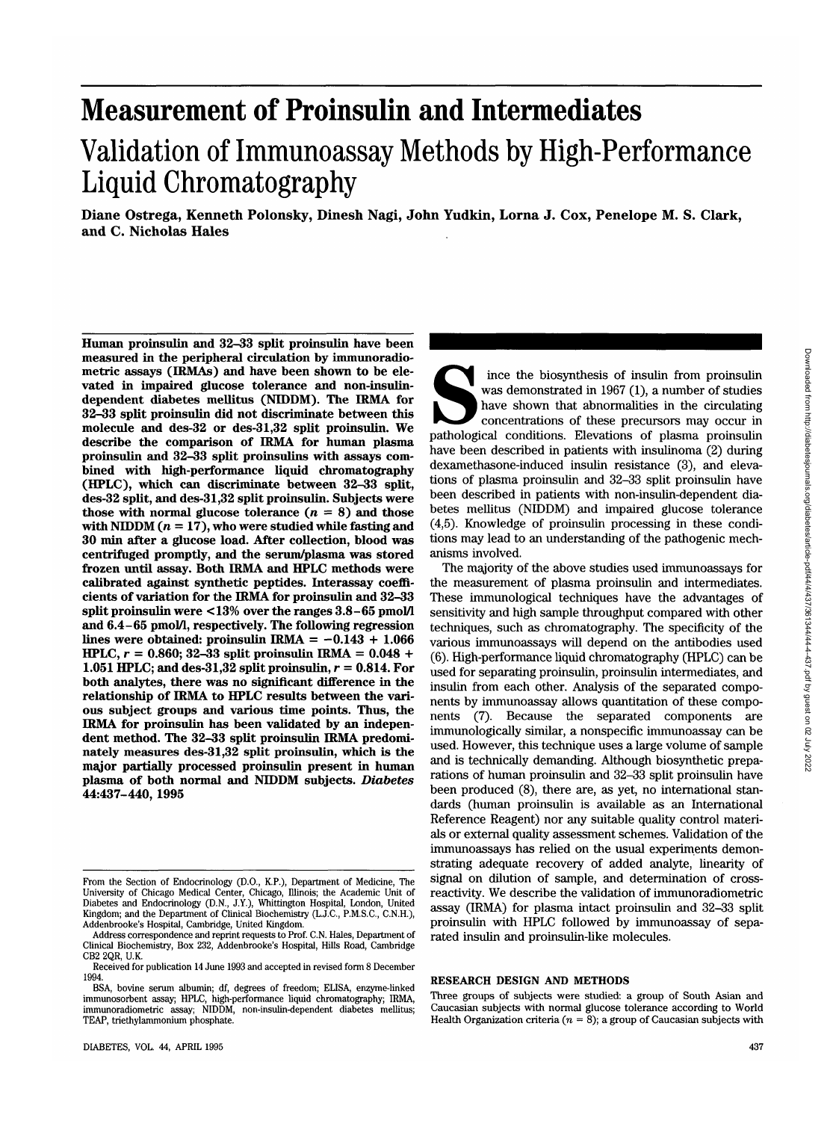# **Measurement of Proinsulin and Intermediates**

## Validation of Immunoassay Methods by High-Performance Liquid Chromatography

**Diane Ostrega, Kenneth Polonsky, Dinesh Nagi, John Yudkin, Lorna J. Cox, Penelope M. S. Clark, and C. Nicholas Hales**

**Human proinsulin and 32-33 split proinsulin have been measured in the peripheral circulation by immunoradiometric assays (IRMAs) and have been shown to be elevated in impaired glucose tolerance and non-insulindependent diabetes mellitus (NIDDM). The IRMA for 32-33 split proinsulin did not discriminate between this molecule and des-32 or des-31,32 split proinsulin. We describe the comparison of IRMA for human plasma proinsulin and 32-33 split proinsulins with assays combined with high-performance liquid chromatography (HPLC), which can discriminate between 32-33 split, des-32 split, and des-31,32 split proinsulin. Subjects were** those with normal glucose tolerance  $(n = 8)$  and those with NIDDM  $(n = 17)$ , who were studied while fasting and **30 min after a glucose load. After collection, blood was centrifuged promptly, and the serum/plasma was stored frozen until assay. Both IRMA and HPLC methods were calibrated against synthetic peptides. Interassay coefficients of variation for the IRMA for proinsulin and 32-33 split proinsulin were <13% over the ranges 3.8-65 pmol/l and 6.4-65 pmol/l, respectively. The following regression** lines were obtained: proinsulin IRMA  $= -0.143 + 1.066$ **HPLC, r = 0.860; 32-33 split proinsulin IRMA = 0.048 + 1.051 HPLC; and des-31,32 split proinsulin,**  $r = 0.814$ **. For both analytes, there was no significant difference in the relationship of IRMA to HPLC results between the various subject groups and various time points. Thus, the IRMA for proinsulin has been validated by an independent method. The 32-33 split proinsulin IRMA predominately measures des-31,32 split proinsulin, which is the major partially processed proinsulin present in human plasma of both normal and NIDDM subjects.** *Diabetes* **44:437-440, 1995**

Fince the biosynthesis of insulin from proinsulin was demonstrated in 1967 (1), a number of studies have shown that abnormalities in the circulating concentrations of these precursors may occur in pathological conditions. was demonstrated in 1967 (1), a number of studies have shown that abnormalities in the circulating concentrations of these precursors may occur in have been described in patients with insulinoma (2) during dexamethasone-induced insulin resistance (3), and elevations of plasma proinsulin and 32-33 split proinsulin have been described in patients with non-insulin-dependent diabetes mellitus (NIDDM) and impaired glucose tolerance (4,5). Knowledge of proinsulin processing in these conditions may lead to an understanding of the pathogenic mechanisms involved.

The majority of the above studies used immunoassays for the measurement of plasma proinsulin and intermediates. These immunological techniques have the advantages of sensitivity and high sample throughput compared with other techniques, such as chromatography. The specificity of the various immunoassays will depend on the antibodies used (6). High-performance liquid chromatography (HPLC) can be used for separating proinsulin, proinsulin intermediates, and insulin from each other. Analysis of the separated components by immunoassay allows quantitation of these components (7). Because the separated components are immunologically similar, a nonspecific immunoassay can be used. However, this technique uses a large volume of sample and is technically demanding. Although biosynthetic preparations of human proinsulin and 32-33 split proinsulin have been produced (8), there are, as yet, no international standards (human proinsulin is available as an International Reference Reagent) nor any suitable quality control materials or external quality assessment schemes. Validation of the immunoassays has relied on the usual experiments demonstrating adequate recovery of added analyte, linearity of signal on dilution of sample, and determination of crossreactivity. We describe the validation of immunoradiometric assay (IRMA) for plasma intact proinsulin and 32-33 split proinsulin with HPLC followed by immunoassay of separated insulin and proinsulin-like molecules.

#### **RESEARCH DESIGN AND METHODS**

From the Section of Endocrinology (D.O., K.P.), Department of Medicine, The<br>University of Chicago Medical Center, Chicago, Illinois; the Academic Unit of<br>Diabetes and Endocrinology (D.N., J.Y.), Whittington Hospital, Londo Kingdom; and the Department of Clinical Biochemistry (L.J.C., P.M.S.C, C.N.H.), Addenbrooke's Hospital, Cambridge, United Kingdom.

Address correspondence and reprint requests to Prof. C.N. Hales, Department of Clinical Biochemistry, Box 232, Addenbrooke's Hospital, Hills Road, Cambridge CB2 2QR, U.K.

Received for publication 14 June 1993 and accepted in revised form 8 December 1994.

BSA, bovine serum albumin; df, degrees of freedom; ELISA, enzyme-linked immunosorbent assay; HPLC, high-performance liquid chromatography; IRMA, immunoradiometric assay; NIDDM, non-insulin-dependent diabetes mellitus; TEAP, triethylammonium phosphate.

Three groups of subjects were studied: a group of South Asian and Caucasian subjects with normal glucose tolerance according to World Health Organization criteria  $(n = 8)$ ; a group of Caucasian subjects with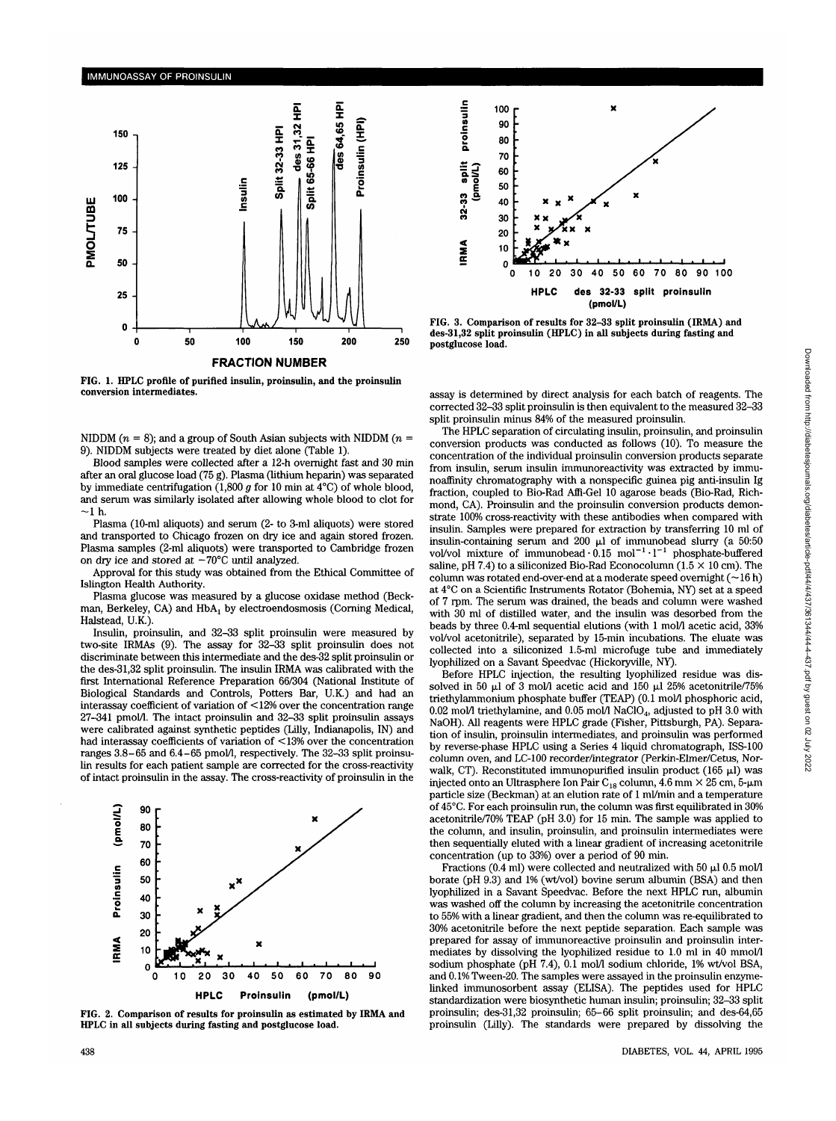

**FIG. 1. HPLC profile of purified insulin, proinsulin, and the proinsulin conversion intermediates.**

NIDDM  $(n = 8)$ ; and a group of South Asian subjects with NIDDM  $(n = 1)$ 9). NIDDM subjects were treated by diet alone (Table 1).

Blood samples were collected after a 12-h overnight fast and 30 min after an oral glucose load (75 g). Plasma (lithium heparin) was separated by immediate centrifugation (1,800 *g* for 10 min at 4°C) of whole blood, and serum was similarly isolated after allowing whole blood to clot for  $-1<sub>h</sub>$ .

Plasma (10-ml aliquots) and serum (2- to 3-ml aliquots) were stored and transported to Chicago frozen on dry ice and again stored frozen. Plasma samples (2-ml aliquots) were transported to Cambridge frozen on dry ice and stored at  $-70^{\circ}$ C until analyzed.

Approval for this study was obtained from the Ethical Committee of Islington Health Authority.

Plasma glucose was measured by a glucose oxidase method (Beckman, Berkeley, CA) and HbAj by electroendosmosis (Corning Medical, Halstead, U.K.)

Insulin, proinsulin, and 32-33 split proinsulin were measured by two-site IRMAs (9). The assay for 32-33 split proinsulin does not discriminate between this intermediate and the des-32 split proinsulin or the des-31,32 split proinsulin. The insulin IRMA was calibrated with the first International Reference Preparation 66/304 (National Institute of Biological Standards and Controls, Potters Bar, U.K.) and had an interassay coefficient of variation of <12% over the concentration range 27-341 pmol/1. The intact proinsulin and 32-33 split proinsulin assays were calibrated against synthetic peptides (Lilly, Indianapolis, IN) and had interassay coefficients of variation of <13% over the concentration ranges 3.8-65 and 6.4-65 pmol/1, respectively. The 32-33 split proinsulin results for each patient sample are corrected for the cross-reactivity of intact proinsulin in the assay. The cross-reactivity of proinsulin in the



**FIG. 2. Comparison of results for proinsulin as estimated by IRMA and HPLC in all subjects during fasting and postglucose load.**



**FIG. 3. Comparison of results for 32-33 split proinsulin (IRMA) and des-31,32 split proinsulin (HPLC) in all subjects during fasting and postglucose load.**

assay is determined by direct analysis for each batch of reagents. The corrected 32-33 split proinsulin is then equivalent to the measured 32-33 split proinsulin minus 84% of the measured proinsulin.

The HPLC separation of circulating insulin, proinsulin, and proinsulin conversion products was conducted as follows (10). To measure the concentration of the individual proinsulin conversion products separate from insulin, serum insulin immunoreactivity was extracted by immunoaffinity chromatography with a nonspecific guinea pig anti-insulin Ig fraction, coupled to Bio-Rad Affi-Gel 10 agarose beads (Bio-Rad, Richmond, CA). Proinsulin and the proinsulin conversion products demonstrate 100% cross-reactivity with these antibodies when compared with insulin. Samples were prepared for extraction by transferring 10 ml of insulin-containing serum and 200  $\mu$ l of immunobead slurry (a 50:50 vol/vol mixture of immunobead $\cdot$  0.15 mol<sup>-1</sup> $\cdot$ 1<sup>-1</sup> phosphate-buffered saline, pH 7.4) to a siliconized Bio-Rad Econocolumn (1.5  $\times$  10 cm). The column was rotated end-over-end at a moderate speed overnight  $(\sim]16 \text{ h})$ at 4°C on a Scientific Instruments Rotator (Bohemia, NY) set at a speed of 7 rpm. The serum was drained, the beads and column were washed with 30 ml of distilled water, and the insulin was desorbed from the beads by three 0.4-ml sequential elutions (with 1 mol/l acetic acid, 33% vol/vol acetonitrile), separated by 15-min incubations. The eluate was collected into a siliconized 1.5-ml microfuge tube and immediately lyophilized on a Savant Speedvac (Hickoryville, NY).

Before HPLC injection, the resulting lyophilized residue was dissolved in 50  $\mu$ l of 3 mol/1 acetic acid and 150  $\mu$ l 25% acetonitrile/75% triethylammonium phosphate buffer (TEAP) (0.1 mol/1 phosphoric acid, 0.02 mol/l triethylamine, and 0.05 mol/l NaClO<sub>4</sub>, adjusted to pH 3.0 with NaOH). All reagents were HPLC grade (Fisher, Pittsburgh, PA). Separation of insulin, proinsulin intermediates, and proinsulin was performed by reverse-phase HPLC using a Series 4 liquid chromatograph, ISS-100 column oven, and LC-100 recorder/integrator (Perkin-Elmer/Cetus, Norwalk, CT). Reconstituted immunopurified insulin product (165  $\mu$ l) was injected onto an Ultrasphere Ion Pair  $\rm C_{18}$  column, 4.6 mm  $\times$  25 cm, 5-µm particle size (Beckman) at an elution rate of 1 ml/min and a temperature of 45°C. For each proinsulin run, the column was first equilibrated in 30% acetonitrile/70% TEAP (pH 3.0) for 15 min. The sample was applied to the column, and insulin, proinsulin, and proinsulin intermediates were then sequentially eluted with a linear gradient of increasing acetonitrile concentration (up to 33%) over a period of 90 min.

Fractions (0.4 ml) were collected and neutralized with 50  $\mu$ l 0.5 mol/l borate (pH 9.3) and 1% (wt/vol) bovine serum albumin (BSA) and then lyophilized in a Savant Speedvac. Before the next HPLC run, albumin was washed off the column by increasing the acetonitrile concentration to 55% with a linear gradient, and then the column was re-equilibrated to 30% acetonitrile before the next peptide separation. Each sample was prepared for assay of immunoreactive proinsulin and proinsulin intermediates by dissolving the lyophilized residue to 1.0 ml in 40 mmol/1 sodium phosphate (pH 7.4), 0.1 mol/1 sodium chloride, 1% wt/vol BSA, and 0.1% Tween-20. The samples were assayed in the proinsulin enzymelinked immunosorbent assay (ELISA). The peptides used for HPLC standardization were biosynthetic human insulin; proinsulin; 32-33 split proinsulin; des-31,32 proinsulin; 65-66 split proinsulin; and des-64,65 proinsulin (Lilly). The standards were prepared by dissolving the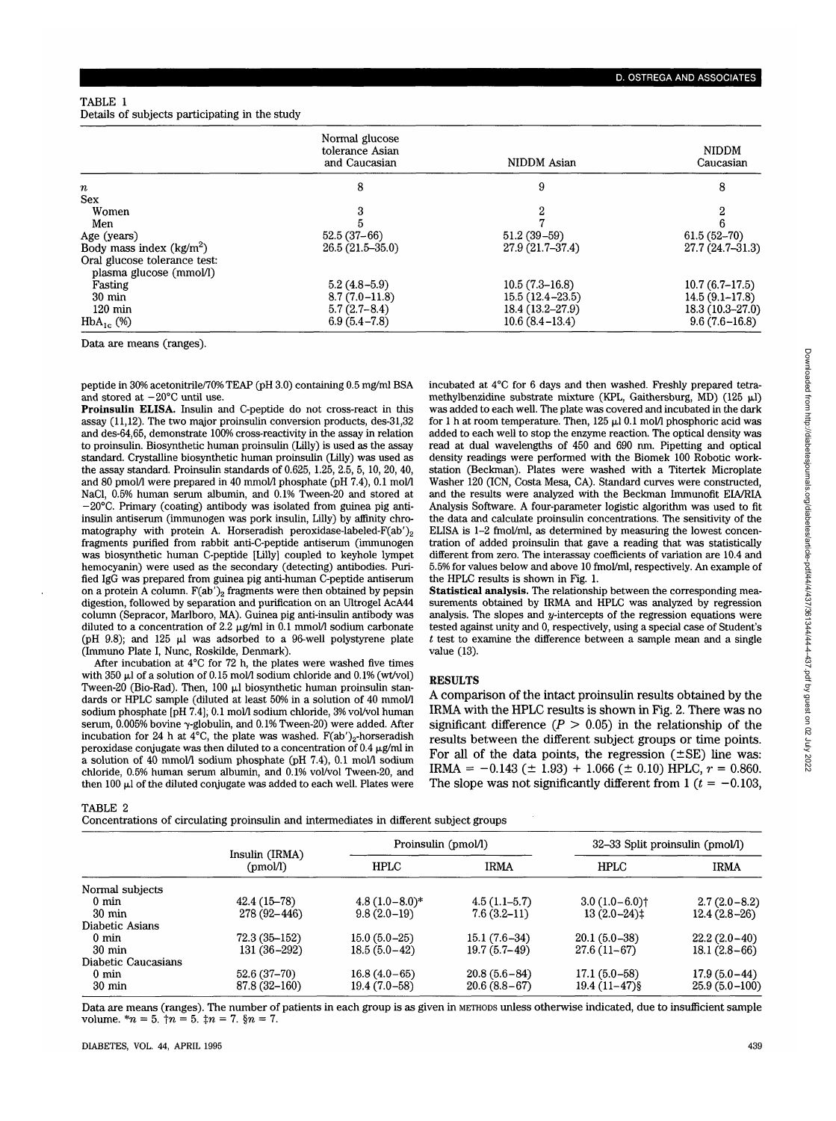### TABLE 1

Details of subjects participating in the study

|                              | Normal glucose<br>tolerance Asian<br>and Caucasian | NIDDM Asian         | <b>NIDDM</b><br>Caucasian |  |
|------------------------------|----------------------------------------------------|---------------------|---------------------------|--|
| $\boldsymbol{n}$             | 8                                                  | 9                   | 8                         |  |
| <b>Sex</b>                   |                                                    |                     |                           |  |
| Women                        |                                                    | 2                   |                           |  |
| Men                          |                                                    |                     |                           |  |
| Age (years)                  | $52.5(37-66)$                                      | $51.2(39-59)$       | $61.5(52 - 70)$           |  |
| Body mass index $(kg/m^2)$   | $26.5(21.5-35.0)$                                  | $27.9(21.7-37.4)$   | $27.7(24.7-31.3)$         |  |
| Oral glucose tolerance test: |                                                    |                     |                           |  |
| plasma glucose (mmol/l)      |                                                    |                     |                           |  |
| Fasting                      | $5.2(4.8-5.9)$                                     | $10.5(7.3-16.8)$    | $10.7(6.7-17.5)$          |  |
| $30 \text{ min}$             | $8.7(7.0-11.8)$                                    | $15.5(12.4 - 23.5)$ | $14.5(9.1-17.8)$          |  |
| $120 \text{ min}$            | $5.7(2.7-8.4)$                                     | 18.4 (13.2-27.9)    | $18.3(10.3 - 27.0)$       |  |
| $HbA_{1c}$ (%)               | $6.9(5.4-7.8)$                                     | $10.6(8.4 - 13.4)$  | $9.6(7.6 - 16.8)$         |  |

Data are means (ranges).

peptide in 30% acetonitrile/70% TEAP (pH 3.0) containing 0.5 mg/ml BSA and stored at  $-20^{\circ}$ C until use.

**Proinsulin ELISA.** Insulin and C-peptide do not cross-react in this assay (11,12). The two major proinsulin conversion products, des-31,32 and des-64,65, demonstrate 100% cross-reactivity in the assay in relation to proinsulin. Biosynthetic human proinsulin (Lilly) is used as the assay standard. Crystalline biosynthetic human proinsulin (Lilly) was used as the assay standard. Proinsulin standards of 0.625, 1.25, 2.5, 5, 10, 20, 40, and 80 pmol/l were prepared in 40 mmol/l phosphate (pH 7.4), 0.1 mol/l NaCl, 0.5% human serum albumin, and 0.1% Tween-20 and stored at -20°C. Primary (coating) antibody was isolated from guinea pig antiinsulin antiserum (immunogen was pork insulin, Lilly) by affinity chromatography with protein A. Horseradish peroxidase-labeled- $F(ab')_2$ fragments purified from rabbit anti-C-peptide antiserum (immunogen was biosynthetic human C-peptide [Lilly] coupled to keyhole lympet hemocyanin) were used as the secondary (detecting) antibodies. Purified IgG was prepared from guinea pig anti-human C-peptide antiserum on a protein A column.  $F(ab')_2$  fragments were then obtained by pepsin digestion, followed by separation and purification on an Ultrogel AcA44 column (Sepracor, Marlboro, MA). Guinea pig anti-insulin antibody was diluted to a concentration of 2.2  $\mu$ g/ml in 0.1 mmol/l sodium carbonate (pH 9.8); and 125  $\mu$ l was adsorbed to a 96-well polystyrene plate (Immuno Plate I, Nunc, Roskilde, Denmark).

After incubation at 4°C for 72 h, the plates were washed five times with  $350 \mu$ l of a solution of 0.15 mol/l sodium chloride and 0.1% (wt/vol) Tween-20 (Bio-Rad). Then, 100 *\d* biosynthetic human proinsulin standards or HPLC sample (diluted at least 50% in a solution of 40 mmol/1 sodium phosphate [pH 7.4], 0.1 mol/l sodium chloride, 3% vol/vol human serum,  $0.005\%$  bovine  $\gamma$ -globulin, and  $0.1\%$  Tween-20) were added. After incubation for 24 h at  $4^{\circ}$ C, the plate was washed. F(ab')<sub>2</sub>-horseradish peroxidase conjugate was then diluted to a concentration of  $0.4 \mu$ g/ml in a solution of  $40$  mmol/l sodium phosphate (pH 7.4), 0.1 mol/l sodium chloride, 0.5% human serum albumin, and 0.1% vol/vol Tween-20, and then 100  $\mu$ l of the diluted conjugate was added to each well. Plates were incubated at 4°C for 6 days and then washed. Freshly prepared tetramethylbenzidine substrate mixture (KPL, Gaithersburg, MD) (125  $\mu$ l) was added to each well. The plate was covered and incubated in the dark for 1 h at room temperature. Then, 125 *\d* 0.1 mol/1 phosphoric acid was added to each well to stop the enzyme reaction. The optical density was read at dual wavelengths of 450 and 690 nm. Pipetting and optical density readings were performed with the Biomek 100 Robotic workstation (Beckman). Plates were washed with a Titertek Microplate Washer 120 (ICN, Costa Mesa, CA). Standard curves were constructed, and the results were analyzed with the Beckman Immunofit EIA/RIA Analysis Software. A four-parameter logistic algorithm was used to fit the data and calculate proinsulin concentrations. The sensitivity of the ELISA is 1-2 fmol/ml, as determined by measuring the lowest concentration of added proinsulin that gave a reading that was statistically different from zero. The interassay coefficients of variation are 10.4 and 5.5% for values below and above 10 fmol/ml, respectively. An example of the HPLC results is shown in Fig. **1.**

**Statistical analysis.** The relationship between the corresponding measurements obtained by IRMA and HPLC was analyzed by regression analysis. The slopes and  $y$ -intercepts of the regression equations were tested against unity and 0, respectively, using a special case of Student's *t* test to examine the difference between a sample mean and a single value (13).

#### **RESULTS**

A comparison of the intact proinsulin results obtained by the IRMA with the HPLC results is shown in Fig. 2. There was no significant difference  $(P > 0.05)$  in the relationship of the results between the different subject groups or time points. For all of the data points, the regression  $(\pm SE)$  line was: IRMA =  $-0.143$  ( $\pm$  1.93) + 1.066 ( $\pm$  0.10) HPLC,  $r = 0.860$ . The slope was not significantly different from 1  $(t = -0.103$ ,

TABLE 2

Concentrations of circulating proinsulin and intermediates in different subject groups

|                     | Insulin (IRMA)<br>(pmol/l) | Proinsulin (pmol/l) |                | $32-33$ Split proinsulin (pmol/l) |                 |
|---------------------|----------------------------|---------------------|----------------|-----------------------------------|-----------------|
|                     |                            | <b>HPLC</b>         | <b>IRMA</b>    | <b>HPLC</b>                       | <b>IRMA</b>     |
| Normal subjects     |                            |                     |                |                                   |                 |
| $0 \text{ min}$     | 42.4 (15-78)               | $4.8(1.0-8.0)*$     | $4.5(1.1-5.7)$ | $3.0(1.0-6.0)$ <sup>+</sup>       | $2.7(2.0-8.2)$  |
| $30 \text{ min}$    | 278 (92-446)               | $9.8(2.0-19)$       | $7.6(3.2-11)$  | $13(2.0-24)$ ‡                    | $12.4(2.8-26)$  |
| Diabetic Asians     |                            |                     |                |                                   |                 |
| $0 \text{ min}$     | $72.3(35 - 152)$           | $15.0(5.0-25)$      | $15.1(7.6-34)$ | $20.1(5.0-38)$                    | $22.2(2.0-40)$  |
| $30 \text{ min}$    | 131 (36-292)               | $18.5(5.0-42)$      | $19.7(5.7-49)$ | $27.6(11-67)$                     | $18.1(2.8-66)$  |
| Diabetic Caucasians |                            |                     |                |                                   |                 |
| $0 \text{ min}$     | 52.6 (37–70)               | $16.8(4.0-65)$      | $20.8(5.6-84)$ | $17.1(5.0-58)$                    | $17.9(5.0-44)$  |
| $30 \text{ min}$    | 87.8 (32-160)              | $19.4(7.0-58)$      | $20.6(8.8-67)$ | $19.4(11-47)\$                    | $25.9(5.0-100)$ |

Data are means (ranges). The number of patients in each group is as given in METHODS unless otherwise indicated, due to insufficient sample volume.  $m = 5$ .  $n = 5$ .  $n = 7$ .  $n = 7$ .